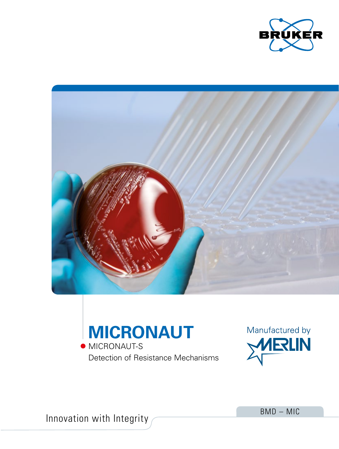





Detection of Resistance Mechanisms



Innovation with Integrity

BMD – MIC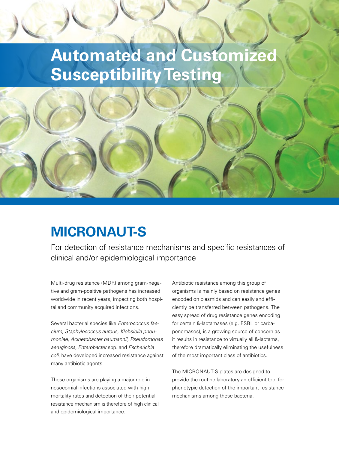# **Automated and Customized Susceptibility Testing**

### **MICRONAUT-S**

For detection of resistance mechanisms and specific resistances of clinical and/or epidemiological importance

Multi-drug resistance (MDR) among gram-negative and gram-positive pathogens has increased worldwide in recent years, impacting both hospital and community acquired infections.

Several bacterial species like *Enterococcus faecium, Staphylococcus aureus, Klebsiella pneumoniae, Acinetobacter baumannii, Pseudomonas aeruginosa, Enterobacter* spp. and *Escherichia coli*, have developed increased resistance against many antibiotic agents.

These organisms are playing a major role in nosocomial infections associated with high mortality rates and detection of their potential resistance mechanism is therefore of high clinical and epidemiological importance.

Antibiotic resistance among this group of organisms is mainly based on resistance genes encoded on plasmids and can easily and efficiently be transferred between pathogens. The easy spread of drug resistance genes encoding for certain ß-lactamases (e.g. ESBL or carbapenemases), is a growing source of concern as it results in resistance to virtually all ß-lactams, therefore dramatically eliminating the usefulness of the most important class of antibiotics.

The MICRONAUT-S plates are designed to provide the routine laboratory an efficient tool for phenotypic detection of the important resistance mechanisms among these bacteria.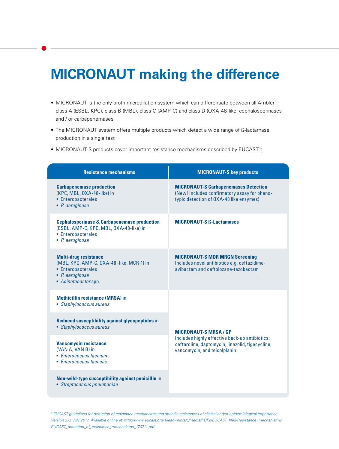### **MICRONAUT making the difference**

- MICRONAUT is the only broth microdilution system which can differentiate between all Ambler class A (ESBL, KPC), class B (MBL), class C (AMP-C) and class D (OXA-48-like) cephalosporinases and / or carbapenemases
- The MICRONAUT system offers multiple products which detect a wide range of ß-lactamase production in a single test
- $\bullet$  MICRONAUT-S products cover important resistance mechanisms described by EUCAST<sup>1</sup>:

| <b>Resistance mechanisms</b>                                                                                                               | <b>MICRONAUT-S key products</b>                                                                                                                                  |
|--------------------------------------------------------------------------------------------------------------------------------------------|------------------------------------------------------------------------------------------------------------------------------------------------------------------|
| <b>Carbapenemase production</b><br>(KPC, MBL, OXA-48-like) in<br>• Enterobacterales<br>• P. aeruginosa                                     | <b>MICRONAUT-S Carbapenemases Detection</b><br>(New! Includes confirmatory assay for pheno-<br>typic detection of OXA-48 like enzymes)                           |
| <b>Cephalosporinase &amp; Carbapenemase production</b><br>(ESBL, AMP-C, KPC, MBL, OXA-48-like) in<br>• Enterobacterales<br>• P. aeruginosa | <b>MICRONAUT-S B-Lactamases</b>                                                                                                                                  |
| <b>Multi-drug resistance</b><br>(MBL, KPC, AMP-C, OXA-48 -like, MCR-1) in<br>• Enterobacterales<br>• P. aeruginosa<br>• Acinetobacter spp. | <b>MICRONAUT-S MDR MRGN Screening</b><br>Includes novel antibiotics e.g. ceftazidime-<br>avibactam and ceftolozane-tazobactam                                    |
| <b>Methicillin resistance (MRSA)</b> in<br>• Staphylococcus aureus                                                                         | <b>MICRONAUT-S MRSA/GP</b><br>Includes highly effective back-up antibiotics:<br>ceftaroline, daptomycin, linezolid, tigecycline,<br>vancomycin, and teicolplanin |
| Reduced susceptibility against glycopeptides in<br>• Staphylococcus aureus                                                                 |                                                                                                                                                                  |
| <b>Vancomycin resistance</b><br>(VAN A, VAN B) in<br>• Enterococcus faecium<br>• Enterococcus faecalis                                     |                                                                                                                                                                  |
| Non-wild-type susceptibility against penicillin in<br>• Streptococcus pneumoniae                                                           |                                                                                                                                                                  |

*1 EUCAST guidelines for detection of resistance mechanisms and specific resistances of clinical and/or epidemiological importance. Version 2.0; July 2017. Available online at: http://www.eucast.org/ filead-min/src/media/PDFs/EUCAST\_files/Resistance\_mechanisms/ EUCAST\_detection\_of\_resistance\_mechanisms\_170711.pdf.*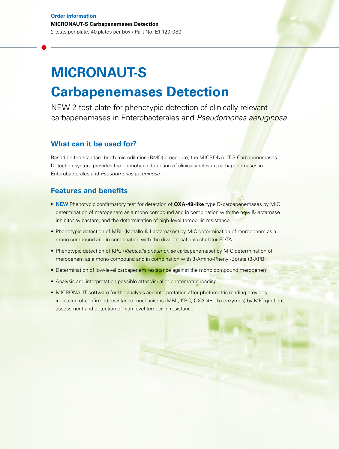## **MICRONAUT-S Carbapenemases Detection**

NEW 2-test plate for phenotypic detection of clinically relevant carbapenemases in Enterobacterales and *Pseudomonas aeruginosa*

### **What can it be used for?**

Based on the standard broth microdilution (BMD) procedure, the MICRONAUT-S Carbapenemases Detection system provides the phenotypic detection of clinically relevant carbapenemases in Enterobacterales and *Pseudomonas aeruginosa.*

#### **Features and benefits**

- **NEW** Phenotypic confirmatory test for detection of **OXA-48-like** type D-carbapenemases by MIC determination of meropenem as a mono compound and in combination with the new B-lactamase inhibitor avibactam, and the determination of high-level temocillin resistance
- Phenotypic detection of MBL (Metallo-ß-Lactamases) by MIC determination of meropenem as a mono compound and in combination with the divalent cationic chelator EDTA
- Phenotypic detection of KPC (*Klebsiella pneumoniae* carbapenemase) by MIC determination of meropenem as a mono compound and in combination with 3-Amino-Phenyl-Borate (3-APB)
- Determination of low-level carbapenem resistance against the mono compound meropenem
- Analysis and interpretation possible after visual or photometric reading
- MICRONAUT software for the analysis and interpretation after photometric reading provides indication of confirmed resistance mechanisms (MBL, KPC, OXA-48-like enzymes) by MIC quotient assessment and detection of high level temocillin resistance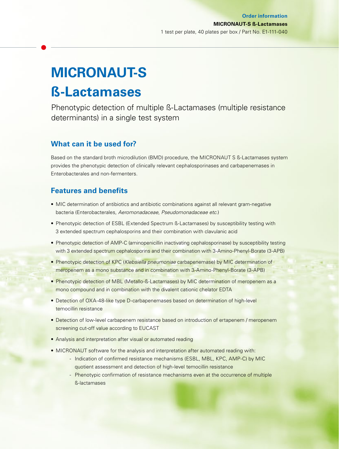## **MICRONAUT-S ß-Lactamases**

Phenotypic detection of multiple ß-Lactamases (multiple resistance determinants) in a single test system

### **What can it be used for?**

Based on the standard broth microdilution (BMD) procedure, the MICRONAUT S ß-Lactamases system provides the phenotypic detection of clinically relevant cephalosporinases and carbapenemases in Enterobacterales and non-fermenters*.*

### **Features and benefits**

- MIC determination of antibiotics and antibiotic combinations against all relevant gram-negative bacteria (Enterobacterales, *Aeromonadaceae*, *Pseudomonadaceae etc.*)
- Phenotypic detection of ESBL (Extended Spectrum ß-Lactamases) by susceptibility testing with 3 extended spectrum cephalosporins and their combination with clavulanic acid
- Phenotypic detection of AMP-C (aminopenicillin inactivating cephalosporinase) by susceptibility testing with 3 extended spectrum cephalosporins and their combination with 3-Amino-Phenyl-Borate (3-APB)
- Phenotypic detection of KPC (*Klebsiella pneumoniae* carbapenemase) by MIC determination of meropenem as a mono substance and in combination with 3-Amino-Phenyl-Borate (3-APB)
- Phenotypic detection of MBL (Metallo-ß-Lactamases) by MIC determination of meropenem as a mono compound and in combination with the divalent cationic chelator EDTA
- Detection of OXA-48-like type D-carbapenemases based on determination of high-level temocillin resistance
- Detection of low-level carbapenem resistance based on introduction of ertapenem / meropenem screening cut-off value according to EUCAST
- Analysis and interpretation after visual or automated reading
- MICRONAUT software for the analysis and interpretation after automated reading with:
	- Indication of confirmed resistance mechanisms (ESBL, MBL, KPC, AMP-C) by MIC quotient assessment and detection of high-level temocillin resistance
	- Phenotypic confirmation of resistance mechanisms even at the occurrence of multiple ß-lactamases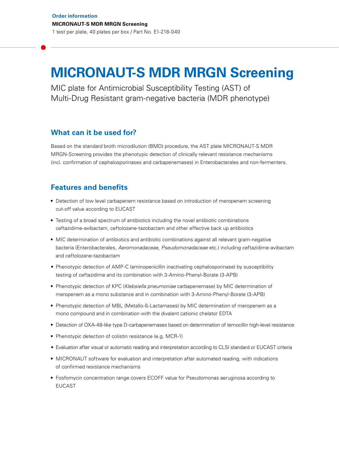### **MICRONAUT-S MDR MRGN Screening**

MIC plate for Antimicrobial Susceptibility Testing (AST) of Multi-Drug Resistant gram-negative bacteria (MDR phenotype)

#### **What can it be used for?**

Based on the standard broth microdilution (BMD) procedure, the AST plate MICRONAUT-S MDR MRGN-Screening provides the phenotypic detection of clinically relevant resistance mechanisms (incl. confirmation of cephalosporinases and carbapenemases) in Enterobacterales and non-fermenters.

### **Features and benefits**

- **•** Detection of low level carbapenem resistance based on introduction of meropenem screening cut-off value according to EUCAST
- **•** Testing of a broad spectrum of antibiotics including the novel antibiotic combinations ceftazidime-avibactam, ceftolozane-tazobactam and other effective back up antibiotics
- MIC determination of antibiotics and antibiotic combinations against all relevant gram-negative bacteria (Enterobacterales, *Aeromonadaceae*, *Pseudomonadaceae* etc.) including ceftazidime-avibactam and ceftolozane-tazobactam
- Phenotypic detection of AMP-C (aminopenicillin inactivating cephalosporinase) by susceptibility testing of ceftazidime and its combination with 3-Amino-Phenyl-Borate (3-APB)
- **•** Phenotypic detection of KPC (*Klebsiella pneumoniae* carbapenemase) by MIC determination of meropenem as a mono substance and in combination with 3-Amino-Phenyl-Borate (3-APB)
- **•** Phenotypic detection of MBL (Metallo-ß-Lactamases) by MIC determination of meropenem as a mono compound and in combination with the divalent cationic chelator EDTA
- **•** Detection of OXA-48-like type D-carbapenemases based on determination of temocillin high-level resistance
- **•** Phenotypic detection of colistin resistance (e.g. MCR-1)
- Evaluation after visual or automatic reading and interpretation according to CLSI standard or EUCAST criteria
- **•** MICRONAUT software for evaluation and interpretation after automated reading, with indications of confirmed resistance mechanisms
- **•** Fosfomycin concentration range covers ECOFF value for Pseudomonas aeruginosa according to EUCAST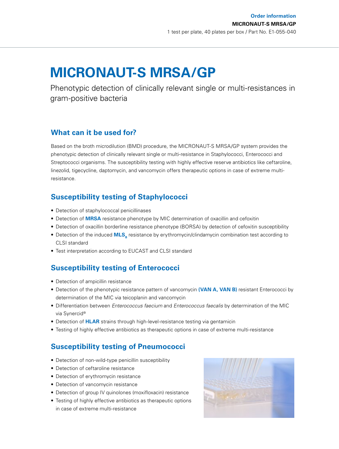### **MICRONAUT-S MRSA/GP**

Phenotypic detection of clinically relevant single or multi-resistances in gram-positive bacteria

### **What can it be used for?**

Based on the broth microdilution (BMD) procedure, the MICRONAUT-S MRSA/GP system provides the phenotypic detection of clinically relevant single or multi-resistance in Staphylococci, Enterococci and Streptococci organisms. The susceptibility testing with highly effective reserve antibiotics like ceftaroline, linezolid, tigecycline, daptomycin, and vancomycin offers therapeutic options in case of extreme multiresistance.

### **Susceptibility testing of Staphylococci**

- Detection of staphylococcal penicillinases
- Detection of **MRSA** resistance phenotype by MIC determination of oxacillin and cefoxitin
- Detection of oxacillin borderline resistance phenotype (BORSA) by detection of cefoxitin susceptibility
- Detection of the induced **MLS**<sub>B</sub> resistance by erythromycin/clindamycin combination test according to CLSI standard
- Test interpretation according to EUCAST and CLSI standard

### **Susceptibility testing of Enterococci**

- Detection of ampicillin resistance
- Detection of the phenotypic resistance pattern of vancomycin **(VAN A, VAN B)** resistant Enterococci by determination of the MIC via teicoplanin and vancomycin
- Differentiation between *Enterococcus faecium* and *Enterococcus faecalis* by determination of the MIC via Synercid®
- Detection of **HLAR** strains through high-level-resistance testing via gentamicin
- Testing of highly effective antibiotics as therapeutic options in case of extreme multi-resistance

### **Susceptibility testing of Pneumococci**

- Detection of non-wild-type penicillin susceptibility
- Detection of ceftaroline resistance
- Detection of erythromycin resistance
- Detection of vancomycin resistance
- Detection of group IV quinolones (moxifloxacin) resistance
- Testing of highly effective antibiotics as therapeutic options in case of extreme multi-resistance